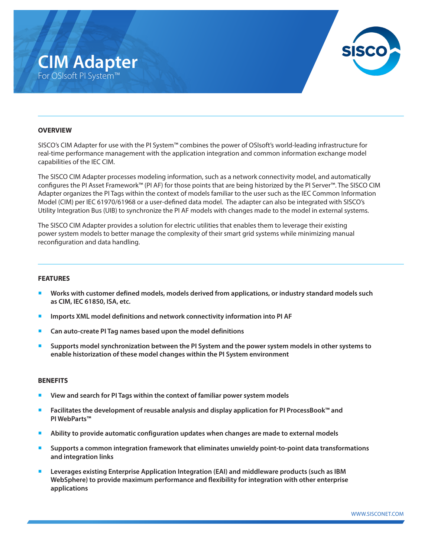## **CIM Adapter** For OSIsoft PI System™



## **OVERVIEW**

SISCO's CIM Adapter for use with the PI System™ combines the power of OSIsoft's world-leading infrastructure for real-time performance management with the application integration and common information exchange model capabilities of the IEC CIM.

The SISCO CIM Adapter processes modeling information, such as a network connectivity model, and automatically configures the PI Asset Framework™ (PI AF) for those points that are being historized by the PI Server™. The SISCO CIM Adapter organizes the PI Tags within the context of models familiar to the user such as the IEC Common Information Model (CIM) per IEC 61970/61968 or a user-defined data model. The adapter can also be integrated with SISCO's Utility Integration Bus (UIB) to synchronize the PI AF models with changes made to the model in external systems.

The SISCO CIM Adapter provides a solution for electric utilities that enables them to leverage their existing power system models to better manage the complexity of their smart grid systems while minimizing manual reconfiguration and data handling.

## **FEATURES**

- ¡ **Works with customer defined models, models derived from applications, or industry standard models such as CIM, IEC 61850, ISA, etc.**
- ¡ **Imports XML model definitions and network connectivity information into PI AF**
- ¡ **Can auto-create PI Tag names based upon the model definitions**
- ¡ **Supports model synchronization between the PI System and the power system models in other systems to enable historization of these model changes within the PI System environment**

#### **BENEFITS**

- ¡ **View and search for PI Tags within the context of familiar power system models**
- ¡ **Facilitates the development of reusable analysis and display application for PI ProcessBook™ and PI WebParts™**
- ¡ **Ability to provide automatic configuration updates when changes are made to external models**
- ¡ **Supports a common integration framework that eliminates unwieldy point-to-point data transformations and integration links**
- ¡ **Leverages existing Enterprise Application Integration (EAI) and middleware products (such as IBM WebSphere) to provide maximum performance and flexibility for integration with other enterprise applications**